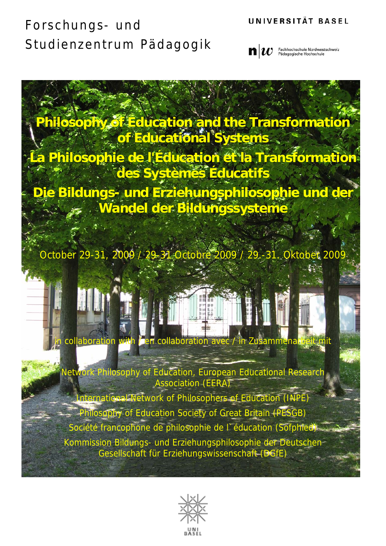#### UNIVERSITÄT BASEL



**Philosophy of Education and the Transformation of Educational Systems La Philosophie de l'Éducation et la Transformation des Systèmes Éducatifs** 

**Die Bildungs- und Erziehungsphilosophie und der Wandel der Bildungssysteme** 

October 29-31, 2009 / 29-31-Octobre 2009 / 29.-31. Oktober 200

collaboration with *i* en collaboration avec / in Zusammenarbeit mit Network Philosophy of Education, European Educational Research Association (EERA)

International Network of Philosophers of Education (INPE) Philosophy of Education Society of Great Britain (PESGB) Société francophone de philosophie de l`éducation (Sofphied) Kommission Bildungs- und Erziehungsphilosophie der Deutschen Gesellschaft für Erziehungswissenschaft (DGfE)

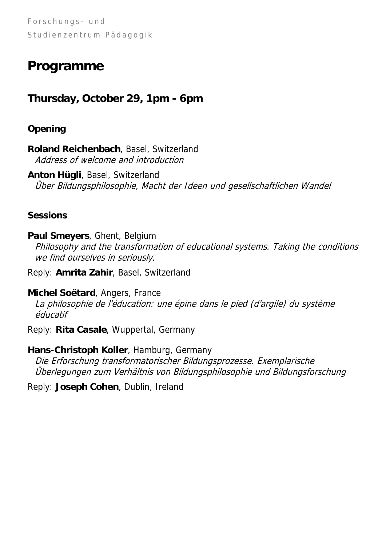## **Programme**

### **Thursday, October 29, 1pm - 6pm**

#### **Opening**

**Roland Reichenbach**, Basel, Switzerland Address of welcome and introduction

**Anton Hügli**, Basel, Switzerland Über Bildungsphilosophie, Macht der Ideen und gesellschaftlichen Wandel

#### **Sessions**

**Paul Smeyers**, Ghent, Belgium Philosophy and the transformation of educational systems. Taking the conditions we find ourselves in seriously.

Reply: **Amrita Zahir**, Basel, Switzerland

#### **Michel Soëtard**, Angers, France

La philosophie de l'éducation: une épine dans le pied (d'argile) du système éducatif

Reply: **Rita Casale**, Wuppertal, Germany

#### **Hans-Christoph Koller**, Hamburg, Germany

Die Erforschung transformatorischer Bildungsprozesse. Exemplarische Überlegungen zum Verhältnis von Bildungsphilosophie und Bildungsforschung

Reply: **Joseph Cohen**, Dublin, Ireland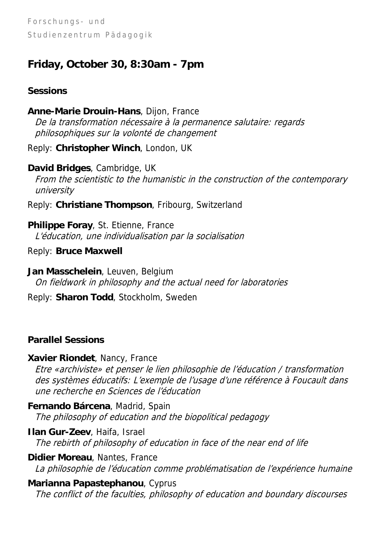### **Friday, October 30, 8:30am - 7pm**

#### **Sessions**

**Anne-Marie Drouin-Hans**, Dijon, France De la transformation nécessaire à la permanence salutaire: regards philosophiques sur la volonté de changement

Reply: **Christopher Winch**, London, UK

**David Bridges**, Cambridge, UK From the scientistic to the humanistic in the construction of the contemporary university

Reply: **Christiane Thompson**, Fribourg, Switzerland

**Philippe Foray**, St. Etienne, France L'éducation, une individualisation par la socialisation

Reply: **Bruce Maxwell** 

**Jan Masschelein**, Leuven, Belgium On fieldwork in philosophy and the actual need for laboratories

Reply: **Sharon Todd**, Stockholm, Sweden

### **Parallel Sessions**

**Xavier Riondet**, Nancy, France

Etre «archiviste» et penser le lien philosophie de l'éducation / transformation des systèmes éducatifs: L'exemple de l'usage d'une référence à Foucault dans une recherche en Sciences de l'éducation

**Fernando Bárcena**, Madrid, Spain The philosophy of education and the biopolitical pedagogy

**Ilan Gur-Zeev**, Haifa, Israel The rebirth of philosophy of education in face of the near end of life

**Didier Moreau**, Nantes, France La philosophie de l'éducation comme problématisation de l'expérience humaine

**Marianna Papastephanou**, Cyprus

The conflict of the faculties, philosophy of education and boundary discourses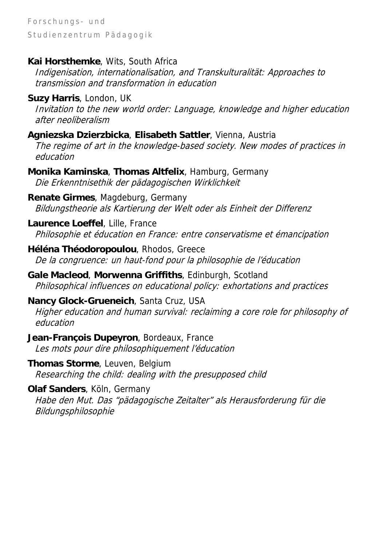#### **Kai Horsthemke**, Wits, South Africa

Indigenisation, internationalisation, and Transkulturalität: Approaches to transmission and transformation in education

#### **Suzy Harris**, London, UK

Invitation to the new world order: Language, knowledge and higher education after neoliberalism

#### **Agniezska Dzierzbicka**, **Elisabeth Sattler**, Vienna, Austria

The regime of art in the knowledge-based society. New modes of practices in education

**Monika Kaminska**, **Thomas Altfelix**, Hamburg, Germany Die Erkenntnisethik der pädagogischen Wirklichkeit

**Renate Girmes**, Magdeburg, Germany Bildungstheorie als Kartierung der Welt oder als Einheit der Differenz

**Laurence Loeffel**, Lille, France Philosophie et éducation en France: entre conservatisme et émancipation

**Héléna Théodoropoulou**, Rhodos, Greece De la congruence: un haut-fond pour la philosophie de l'éducation

#### **Gale Macleod**, **Morwenna Griffiths**, Edinburgh, Scotland Philosophical influences on educational policy: exhortations and practices

#### **Nancy Glock-Grueneich**, Santa Cruz, USA

Higher education and human survival: reclaiming a core role for philosophy of education

**Jean-François Dupeyron**, Bordeaux, France Les mots pour dire philosophiquement l'éducation

**Thomas Storme**, Leuven, Belgium Researching the child: dealing with the presupposed child

#### **Olaf Sanders**, Köln, Germany

Habe den Mut. Das "pädagogische Zeitalter" als Herausforderung für die Bildungsphilosophie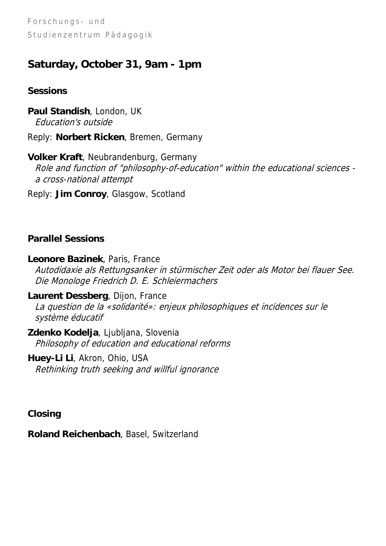### **Saturday, October 31, 9am - 1pm**

#### **Sessions**

**Paul Standish**, London, UK Education's outside

Reply: **Norbert Ricken**, Bremen, Germany

**Volker Kraft**, Neubrandenburg, Germany Role and function of "philosophy-of-education" within the educational sciences a cross-national attempt

Reply: **Jim Conroy**, Glasgow, Scotland

#### **Parallel Sessions**

**Leonore Bazinek**, Paris, France Autodidaxie als Rettungsanker in stürmischer Zeit oder als Motor bei flauer See. Die Monologe Friedrich D. E. Schleiermachers

**Laurent Dessberg**, Dijon, France La question de la «solidarité»: enjeux philosophiques et incidences sur le système éducatif

**Zdenko Kodelja**, Ljubljana, Slovenia Philosophy of education and educational reforms

**Huey-Li Li**, Akron, Ohio, USA Rethinking truth seeking and willful ignorance

**Closing** 

**Roland Reichenbach**, Basel, Switzerland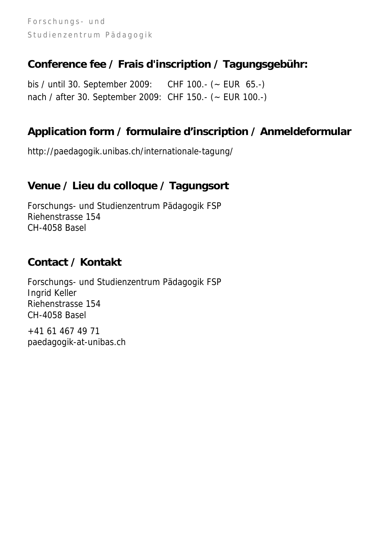### **Conference fee / Frais d'inscription / Tagungsgebühr:**

bis / until 30. September 2009: CHF 100.- (~ EUR 65.-) nach / after 30. September 2009: CHF 150.- (~ EUR 100.-)

### **Application form / formulaire d'inscription / Anmeldeformular**

<http://paedagogik.unibas.ch/internationale-tagung/>

### **Venue / Lieu du colloque / Tagungsort**

Forschungs- und Studienzentrum Pädagogik FSP Riehenstrasse 154 CH-4058 Basel

### **Contact / Kontakt**

Forschungs- und Studienzentrum Pädagogik FSP Ingrid Keller Riehenstrasse 154 CH-4058 Basel

+41 61 467 49 71 [paedagogik-at-unibas.ch](mailto:paedagogik@unibas.ch)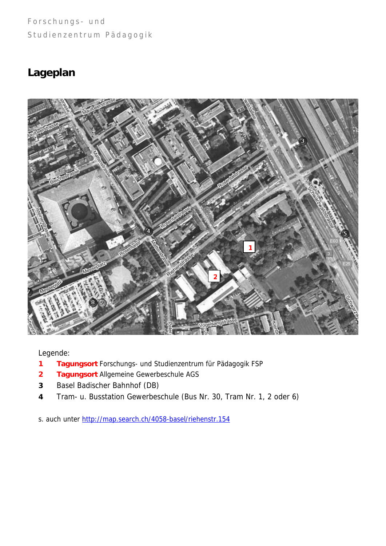### **Lageplan**



Legende:

- **1 Tagungsort** Forschungs- und Studienzentrum für Pädagogik FSP
- **2 Tagungsort** Allgemeine Gewerbeschule AGS
- **3** Basel Badischer Bahnhof (DB)
- **4** Tram- u. Busstation Gewerbeschule (Bus Nr. 30, Tram Nr. 1, 2 oder 6)

s. auch unter <http://map.search.ch/4058-basel/riehenstr.154>